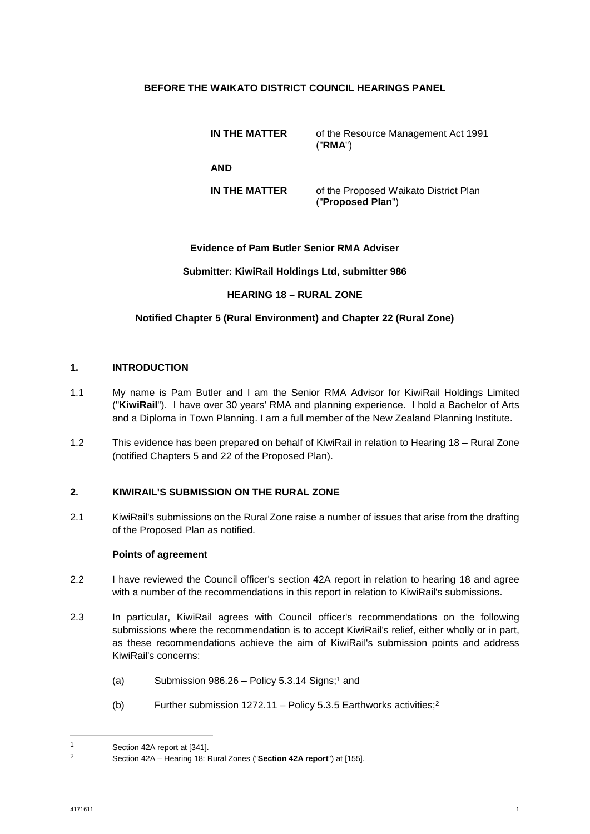## **BEFORE THE WAIKATO DISTRICT COUNCIL HEARINGS PANEL**

**IN THE MATTER** of the Resource Management Act 1991 ("**RMA**") **AND IN THE MATTER** of the Proposed Waikato District Plan ("**Proposed Plan**")

### **Evidence of Pam Butler Senior RMA Adviser**

### **Submitter: KiwiRail Holdings Ltd, submitter 986**

### **HEARING 18 – RURAL ZONE**

## **Notified Chapter 5 (Rural Environment) and Chapter 22 (Rural Zone)**

### **1. INTRODUCTION**

- 1.1 My name is Pam Butler and I am the Senior RMA Advisor for KiwiRail Holdings Limited ("**KiwiRail**"). I have over 30 years' RMA and planning experience. I hold a Bachelor of Arts and a Diploma in Town Planning. I am a full member of the New Zealand Planning Institute.
- 1.2 This evidence has been prepared on behalf of KiwiRail in relation to Hearing 18 Rural Zone (notified Chapters 5 and 22 of the Proposed Plan).

## **2. KIWIRAIL'S SUBMISSION ON THE RURAL ZONE**

2.1 KiwiRail's submissions on the Rural Zone raise a number of issues that arise from the drafting of the Proposed Plan as notified.

#### **Points of agreement**

- 2.2 I have reviewed the Council officer's section 42A report in relation to hearing 18 and agree with a number of the recommendations in this report in relation to KiwiRail's submissions.
- 2.3 In particular, KiwiRail agrees with Council officer's recommendations on the following submissions where the recommendation is to accept KiwiRail's relief, either wholly or in part, as these recommendations achieve the aim of KiwiRail's submission points and address KiwiRail's concerns:
	- (a)Submission  $986.26 -$  Policy 5.3.14 Signs;<sup>1</sup> and
	- (b) Further submission  $1272.11 1272.11 1272.11 -$  Policy 5.3.5 Earthworks activities;<sup>2</sup>

<span id="page-0-1"></span><span id="page-0-0"></span><sup>1</sup> Section 42A report at [341].

<sup>2</sup> Section 42A – Hearing 18: Rural Zones ("**Section 42A report**") at [155].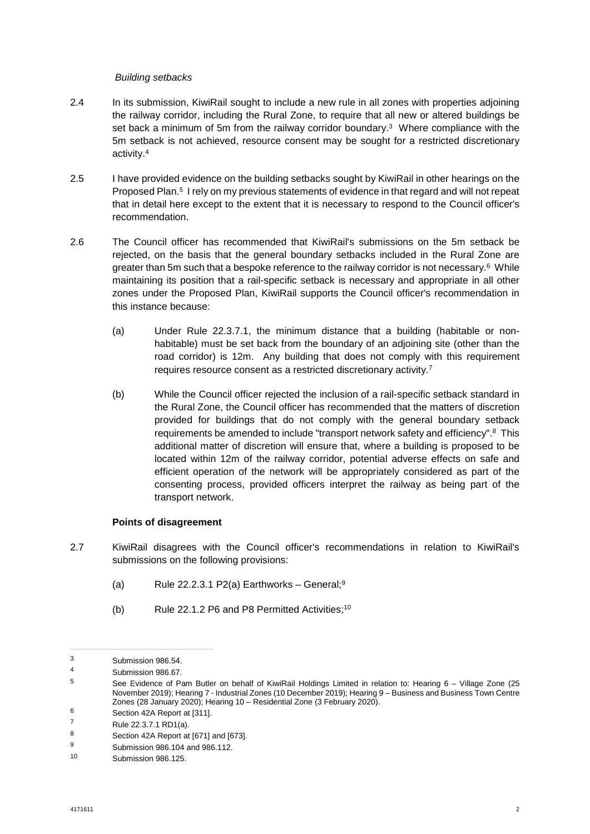### *Building setbacks*

- 2.4 In its submission, KiwiRail sought to include a new rule in all zones with properties adjoining [the railway corridor, including the Rural Zone, to require that all new or altered buildings be](#page-1-0)  set back a minimum of 5m from the railway corridor boundary.<sup>3</sup> Where compliance with the [5m setback is not achieved, resource consent may be sought for a restricted discretionary](#page-1-1)  activity.[4](#page-1-1)
- 2.5 [I have provided evidence on the building setbacks sought by KiwiRail in other hearings on the](#page-1-2)  Proposed Plan.<sup>5</sup> I rely on my previous statements of evidence in that regard and will not repeat that in detail here except to the extent that it is necessary to respond to the Council officer's recommendation.
- 2.6 The Council officer has recommended that KiwiRail's submissions on the 5m setback be [rejected, on the basis that the general boundary setbacks included in the Rural Zone are](#page-1-3)  greater than 5m such that a bespoke reference to the railway corridor is not necessary.<sup>6</sup> While maintaining its position that a rail-specific setback is necessary and appropriate in all other zones under the Proposed Plan, KiwiRail supports the Council officer's recommendation in this instance because:
	- (a) Under Rule 22.3.7.1, the minimum distance that a building (habitable or nonhabitable) must be set back from the boundary of an adjoining site (other than the [road corridor\) is 12m. Any building that does not comply with this requirement](#page-1-4)  requires resource consent as a restricted discretionary activity.[7](#page-1-4)
	- (b) While the Council officer rejected the inclusion of a rail-specific setback standard in the Rural Zone, the Council officer has recommended that the matters of discretion [provided for buildings that do not comply with the general boundary setback](#page-1-5)  requirements be amended to include "transport network safety and efficiency".<sup>8</sup> This additional matter of discretion will ensure that, where a building is proposed to be located within 12m of the railway corridor, potential adverse effects on safe and efficient operation of the network will be appropriately considered as part of the consenting process, provided officers interpret the railway as being part of the transport network.

## **Points of disagreement**

- 2.7 KiwiRail disagrees with the Council officer's recommendations in relation to KiwiRail's submissions on the following provisions:
	- (a) Rule 22.2.3.1 P2(a) Earthworks General;<sup>[9](#page-1-6)</sup>
	- (b) Rule 22.1.2 P6 and P8 Permitted Activities;<sup>[10](#page-1-7)</sup>

<span id="page-1-1"></span><span id="page-1-0"></span><sup>3</sup> Submission 986.54.

<span id="page-1-2"></span><sup>4</sup> Submission 986.67.<br>5 See Fuidance of Bo

See Evidence of Pam Butler on behalf of KiwiRail Holdings Limited in relation to: Hearing 6 - Village Zone (25 November 2019); Hearing 7 - Industrial Zones (10 December 2019); Hearing 9 – Business and Business Town Centre Zones (28 January 2020); Hearing 10 – Residential Zone (3 February 2020).

<span id="page-1-4"></span><span id="page-1-3"></span> $^6$  Section 42A Report at [311].

<span id="page-1-5"></span> $7$  Rule 22.3.7.1 RD1(a).<br>8 Section 42A Report at

<span id="page-1-6"></span>Section 42A Report at [671] and [673].

<span id="page-1-7"></span><sup>9</sup> Submission 986.104 and 986.112.

Submission 986.125.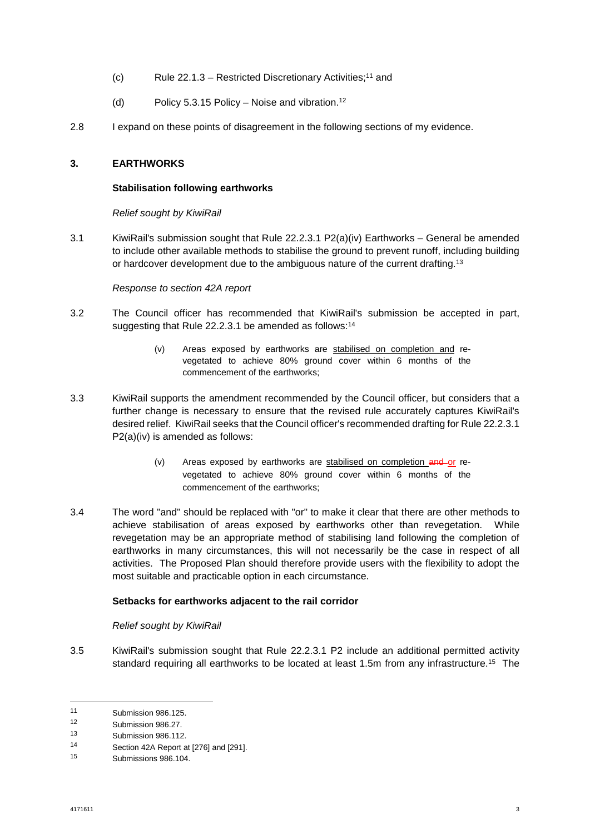- (c) Rule 22.1.3 Restricted Discretionary Activities;[11](#page-2-0) and
- (d) Policy 5.3.15 Policy Noise and vibration.<sup>[12](#page-2-1)</sup>
- 2.8 I expand on these points of disagreement in the following sections of my evidence.

### **3. EARTHWORKS**

#### **Stabilisation following earthworks**

*Relief sought by KiwiRail* 

3.1 KiwiRail's submission sought that Rule 22.2.3.1 P2(a)(iv) Earthworks – General be amended to include other available methods to stabilise the ground to prevent runoff, in[clud](#page-2-2)ing building or hardcover development due to the ambiguous nature of the current drafting.<sup>13</sup>

### *Response to section 42A report*

- 3.2 The Council officer has recommended that KiwiR[ail's](#page-2-3) submission be accepted in part, suggesting that Rule 22.2.3.1 be amended as follows:<sup>14</sup>
	- (v) Areas exposed by earthworks are stabilised on completion and revegetated to achieve 80% ground cover within 6 months of the commencement of the earthworks;
- 3.3 KiwiRail supports the amendment recommended by the Council officer, but considers that a further change is necessary to ensure that the revised rule accurately captures KiwiRail's desired relief. KiwiRail seeks that the Council officer's recommended drafting for Rule 22.2.3.1 P2(a)(iv) is amended as follows:
	- (v) Areas exposed by earthworks are stabilised on completion and or revegetated to achieve 80% ground cover within 6 months of the commencement of the earthworks;
- 3.4 The word "and" should be replaced with "or" to make it clear that there are other methods to achieve stabilisation of areas exposed by earthworks other than revegetation. While revegetation may be an appropriate method of stabilising land following the completion of earthworks in many circumstances, this will not necessarily be the case in respect of all activities. The Proposed Plan should therefore provide users with the flexibility to adopt the most suitable and practicable option in each circumstance.

### **Setbacks for earthworks adjacent to the rail corridor**

#### *Relief sought by KiwiRail*

3.5 KiwiRail's submission sought that Rule 22.2.3.1 P2 include an additional permitted [ac](#page-2-4)tivity standard requiring all earthworks to be located at least 1.5m from any infrastructure.<sup>15</sup> The

<span id="page-2-1"></span><span id="page-2-0"></span><sup>11</sup> Submission 986.125.<br>12 Submission 986.97

<span id="page-2-2"></span><sup>12</sup> Submission 986.27.<br>13 Submission 986.112

<span id="page-2-3"></span>Submission 986.112.

<span id="page-2-4"></span><sup>14</sup> Section 42A Report at [276] and [291].

Submissions 986.104.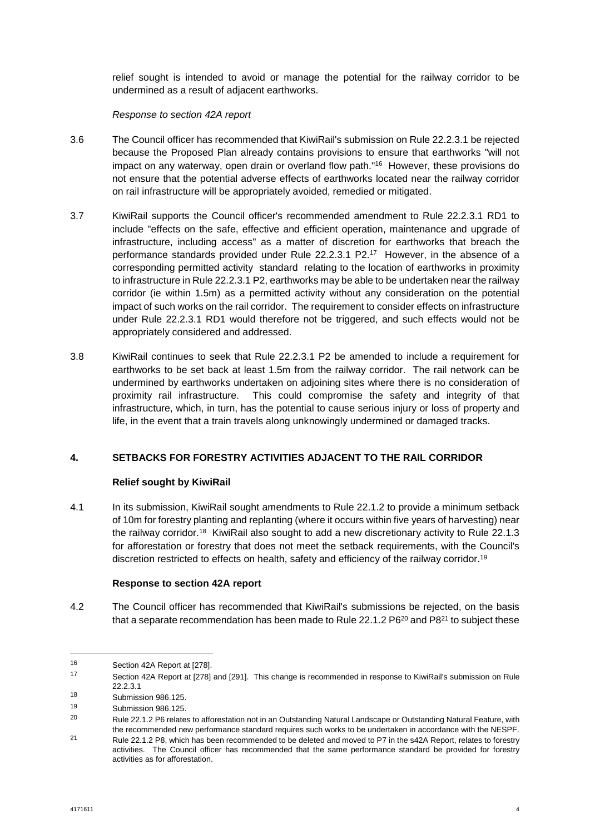relief sought is intended to avoid or manage the potential for the railway corridor to be undermined as a result of adjacent earthworks.

## *Response to section 42A report*

- 3.6 The Council officer has recommended that KiwiRail's submission on Rule 22.2.3.1 be rejected [because the Proposed Plan already contains provisions to ensure that earthworks "will not](#page-3-0)  impact on any waterway, open drain or overland flow path."<sup>16</sup> However, these provisions do not ensure that the potential adverse effects of earthworks located near the railway corridor on rail infrastructure will be appropriately avoided, remedied or mitigated.
- 3.7 KiwiRail supports the Council officer's recommended amendment to Rule 22.2.3.1 RD1 to include "effects on the safe, effective and efficient operation, maintenance and upgrade of [infrastructure, including access" as a matter of discretion for earthworks that breach the](#page-3-1)  performance standards provided under Rule 22.2.3.1 P2.<sup>17</sup> However, in the absence of a corresponding permitted activity standard relating to the location of earthworks in proximity to infrastructure in Rule 22.2.3.1 P2, earthworks may be able to be undertaken near the railway corridor (ie within 1.5m) as a permitted activity without any consideration on the potential impact of such works on the rail corridor. The requirement to consider effects on infrastructure under Rule 22.2.3.1 RD1 would therefore not be triggered, and such effects would not be appropriately considered and addressed.
- 3.8 KiwiRail continues to seek that Rule 22.2.3.1 P2 be amended to include a requirement for earthworks to be set back at least 1.5m from the railway corridor. The rail network can be undermined by earthworks undertaken on adjoining sites where there is no consideration of proximity rail infrastructure. This could compromise the safety and integrity of that infrastructure, which, in turn, has the potential to cause serious injury or loss of property and life, in the event that a train travels along unknowingly undermined or damaged tracks.

## **4. SETBACKS FOR FORESTRY ACTIVITIES ADJACENT TO THE RAIL CORRIDOR**

## **Relief sought by KiwiRail**

4.1 In its submission, KiwiRail sought amendments to Rule 22.1.2 to provide a minimum setback [of 10m for forestry planting and replanting \(where it occurs within five years of harvesting\) near](#page-3-2)  the railway corridor.<sup>18</sup> KiwiRail also sought to add a new discretionary activity to Rule 22.1.3 for afforestation or forestry that does not meet the setback requirements, with the [Co](#page-3-3)uncil's discretion restricted to effects on health, safety and efficiency of the railway corridor.<sup>19</sup>

## **Response to section 42A report**

4.2 The Council officer has recommended that KiwiRail's submissio[ns b](#page-3-4)e reje[cte](#page-3-5)d, on the basis that a separate recommendation has been made to Rule 22.1.2  $P6^{20}$  and  $P8^{21}$  to subject these

<span id="page-3-1"></span><span id="page-3-0"></span><sup>16</sup> Section 42A Report at [278].

<sup>17</sup> Section 42A Report at [278] and [291]. This change is recommended in response to KiwiRail's submission on Rule 22.2.3.1

<span id="page-3-3"></span><span id="page-3-2"></span><sup>18</sup> Submission 986.125.

<span id="page-3-4"></span><sup>19</sup> Submission 986.125.

<sup>&</sup>lt;sup>20</sup> Rule 22.1.2 P6 relates to afforestation not in an Outstanding Natural Landscape or Outstanding Natural Feature, with the recommended new performance standard requires such works to be undertaken in accordance with the NESPF.

<span id="page-3-5"></span><sup>21</sup> Rule 22.1.2 P8, which has been recommended to be deleted and moved to P7 in the s42A Report, relates to forestry activities. The Council officer has recommended that the same performance standard be provided for forestry activities as for afforestation.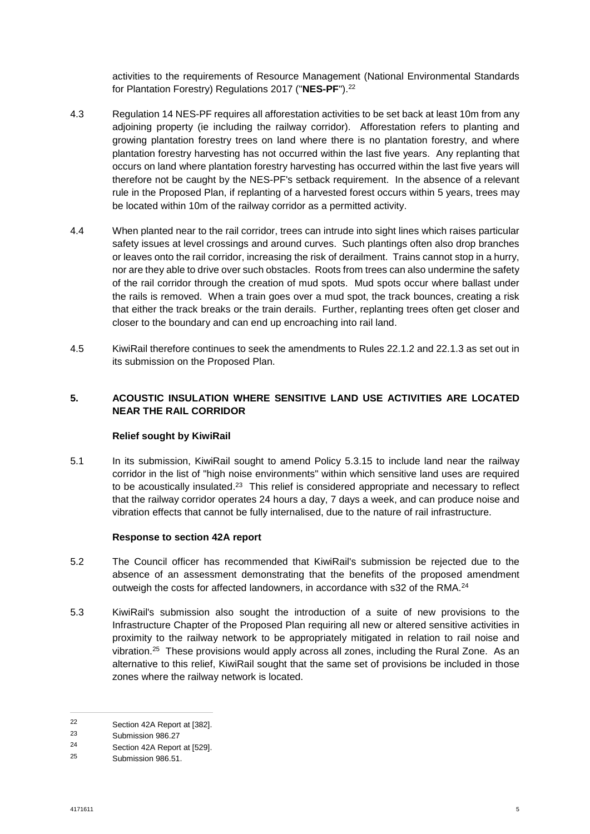activities to the requirements of Resource Managem[en](#page-4-0)t (National Environmental Standards for Plantation Forestry) Regulations 2017 ("**NES-PF**").<sup>22</sup>

- 4.3 Regulation 14 NES-PF requires all afforestation activities to be set back at least 10m from any adjoining property (ie including the railway corridor). Afforestation refers to planting and growing plantation forestry trees on land where there is no plantation forestry, and where plantation forestry harvesting has not occurred within the last five years. Any replanting that occurs on land where plantation forestry harvesting has occurred within the last five years will therefore not be caught by the NES-PF's setback requirement. In the absence of a relevant rule in the Proposed Plan, if replanting of a harvested forest occurs within 5 years, trees may be located within 10m of the railway corridor as a permitted activity.
- 4.4 When planted near to the rail corridor, trees can intrude into sight lines which raises particular safety issues at level crossings and around curves. Such plantings often also drop branches or leaves onto the rail corridor, increasing the risk of derailment. Trains cannot stop in a hurry, nor are they able to drive over such obstacles. Roots from trees can also undermine the safety of the rail corridor through the creation of mud spots. Mud spots occur where ballast under the rails is removed. When a train goes over a mud spot, the track bounces, creating a risk that either the track breaks or the train derails. Further, replanting trees often get closer and closer to the boundary and can end up encroaching into rail land.
- 4.5 KiwiRail therefore continues to seek the amendments to Rules 22.1.2 and 22.1.3 as set out in its submission on the Proposed Plan.

# **5. ACOUSTIC INSULATION WHERE SENSITIVE LAND USE ACTIVITIES ARE LOCATED NEAR THE RAIL CORRIDOR**

## **Relief sought by KiwiRail**

5.1 In its submission, KiwiRail sought to amend Policy 5.3.15 to include land near the railway [corridor in the list of "high noise environments" within which sensitive land uses are required](#page-4-1)  to be acoustically insulated. $23$  This relief is considered appropriate and necessary to reflect that the railway corridor operates 24 hours a day, 7 days a week, and can produce noise and vibration effects that cannot be fully internalised, due to the nature of rail infrastructure.

## **Response to section 42A report**

- 5.2 The Council officer has recommended that KiwiRail's submission be rejected due to the absence of an assessment demonstrating that the benefits of the propose[d a](#page-4-2)mendment outweigh the costs for affected landowners, in accordance with s32 of the RMA.<sup>24</sup>
- 5.3 KiwiRail's submission also sought the introduction of a suite of new provisions to the Infrastructure Chapter of the Proposed Plan requiring all new or altered sensitive activities in [proximity to the railway network to be appropriately mitigated in relation to rail noise and](#page-4-3)  vibration.<sup>25</sup> These provisions would apply across all zones, including the Rural Zone. As an alternative to this relief, KiwiRail sought that the same set of provisions be included in those zones where the railway network is located.

<span id="page-4-1"></span><span id="page-4-0"></span><sup>22</sup> Section 42A Report at  $[382]$ .<br>23 Submission 086.27

<span id="page-4-2"></span> $\frac{23}{24}$  Submission 986.27

 $^{24}$  Section 42A Report at [529].

<span id="page-4-3"></span>Submission 986.51.